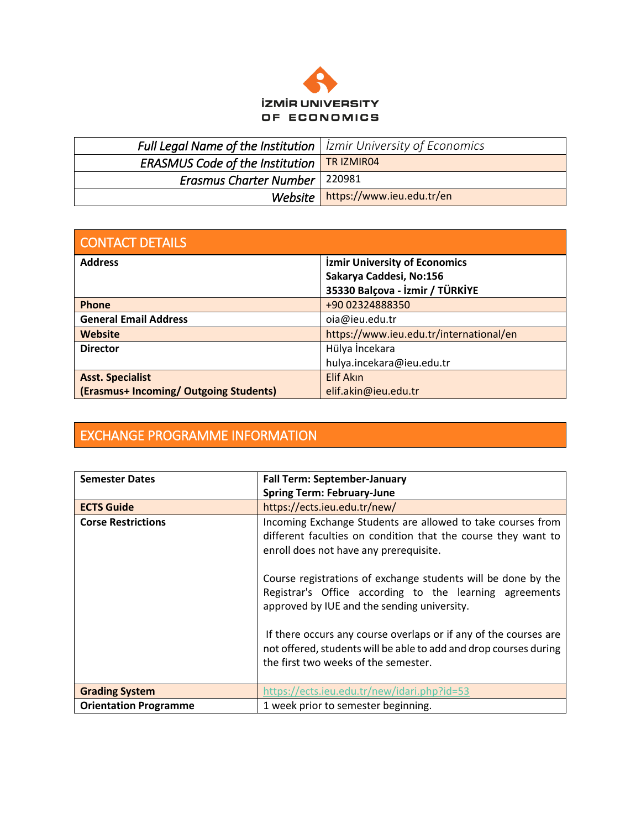

| <b>Full Legal Name of the Institution</b>   <i>izmir University of Economics</i> |                                   |
|----------------------------------------------------------------------------------|-----------------------------------|
| <b>ERASMUS Code of the Institution   TR IZMIR04</b>                              |                                   |
| <b>Erasmus Charter Number</b>   220981                                           |                                   |
|                                                                                  | Website https://www.ieu.edu.tr/en |

| <b>CONTACT DETAILS</b>                 |                                         |  |  |  |
|----------------------------------------|-----------------------------------------|--|--|--|
| <b>Address</b>                         | <b>İzmir University of Economics</b>    |  |  |  |
|                                        | Sakarya Caddesi, No:156                 |  |  |  |
|                                        | 35330 Balçova - İzmir / TÜRKİYE         |  |  |  |
| Phone                                  | +90 02324888350                         |  |  |  |
| <b>General Email Address</b>           | oia@ieu.edu.tr                          |  |  |  |
| Website                                | https://www.ieu.edu.tr/international/en |  |  |  |
| <b>Director</b>                        | Hülya İncekara                          |  |  |  |
|                                        | hulya.incekara@ieu.edu.tr               |  |  |  |
| <b>Asst. Specialist</b>                | Elif Akın                               |  |  |  |
| (Erasmus+ Incoming/ Outgoing Students) | elif.akin@ieu.edu.tr                    |  |  |  |

## EXCHANGE PROGRAMME INFORMATION

| <b>Semester Dates</b>        | <b>Fall Term: September-January</b>                                                                                                                                                                                                                                                                                                                                                                                                                                                                                                |  |  |  |  |
|------------------------------|------------------------------------------------------------------------------------------------------------------------------------------------------------------------------------------------------------------------------------------------------------------------------------------------------------------------------------------------------------------------------------------------------------------------------------------------------------------------------------------------------------------------------------|--|--|--|--|
|                              | <b>Spring Term: February-June</b>                                                                                                                                                                                                                                                                                                                                                                                                                                                                                                  |  |  |  |  |
| <b>ECTS Guide</b>            | https://ects.ieu.edu.tr/new/                                                                                                                                                                                                                                                                                                                                                                                                                                                                                                       |  |  |  |  |
| <b>Corse Restrictions</b>    | Incoming Exchange Students are allowed to take courses from<br>different faculties on condition that the course they want to<br>enroll does not have any prerequisite.<br>Course registrations of exchange students will be done by the<br>Registrar's Office according to the learning agreements<br>approved by IUE and the sending university.<br>If there occurs any course overlaps or if any of the courses are<br>not offered, students will be able to add and drop courses during<br>the first two weeks of the semester. |  |  |  |  |
| <b>Grading System</b>        | https://ects.ieu.edu.tr/new/idari.php?id=53                                                                                                                                                                                                                                                                                                                                                                                                                                                                                        |  |  |  |  |
| <b>Orientation Programme</b> | 1 week prior to semester beginning.                                                                                                                                                                                                                                                                                                                                                                                                                                                                                                |  |  |  |  |